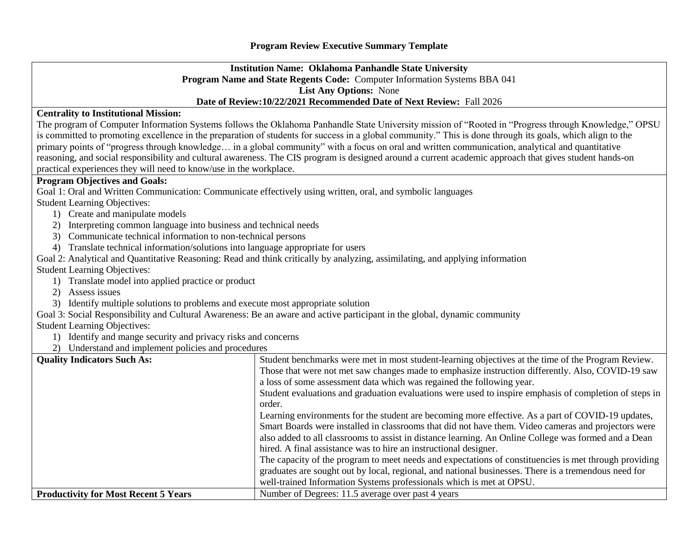## **Institution Name: Oklahoma Panhandle State University Program Name and State Regents Code:** Computer Information Systems BBA 041 **List Any Options:** None **Date of Review:10/22/2021 Recommended Date of Next Review:** Fall 2026

## **Centrality to Institutional Mission:**

The program of Computer Information Systems follows the Oklahoma Panhandle State University mission of "Rooted in "Progress through Knowledge," OPSU is committed to promoting excellence in the preparation of students for success in a global community." This is done through its goals, which align to the primary points of "progress through knowledge… in a global community" with a focus on oral and written communication, analytical and quantitative reasoning, and social responsibility and cultural awareness. The CIS program is designed around a current academic approach that gives student hands-on practical experiences they will need to know/use in the workplace.

## **Program Objectives and Goals:**

Goal 1: Oral and Written Communication: Communicate effectively using written, oral, and symbolic languages Student Learning Objectives:

- 1) Create and manipulate models
- 2) Interpreting common language into business and technical needs
- 3) Communicate technical information to non-technical persons
- 4) Translate technical information/solutions into language appropriate for users
- Goal 2: Analytical and Quantitative Reasoning: Read and think critically by analyzing, assimilating, and applying information

Student Learning Objectives:

- 1) Translate model into applied practice or product
- 2) Assess issues
- 3) Identify multiple solutions to problems and execute most appropriate solution
- Goal 3: Social Responsibility and Cultural Awareness: Be an aware and active participant in the global, dynamic community

Student Learning Objectives:

- 1) Identify and mange security and privacy risks and concerns
- 2) Understand and implement policies and procedures

## **Quality Indicators Such As:** Student benchmarks were met in most student-learning objectives at the time of the Program Review. Those that were not met saw changes made to emphasize instruction differently. Also, COVID-19 saw a loss of some assessment data which was regained the following year. Student evaluations and graduation evaluations were used to inspire emphasis of completion of steps in order. Learning environments for the student are becoming more effective. As a part of COVID-19 updates, Smart Boards were installed in classrooms that did not have them. Video cameras and projectors were also added to all classrooms to assist in distance learning. An Online College was formed and a Dean hired. A final assistance was to hire an instructional designer. The capacity of the program to meet needs and expectations of constituencies is met through providing graduates are sought out by local, regional, and national businesses. There is a tremendous need for well-trained Information Systems professionals which is met at OPSU. **Productivity for Most Recent 5 Years** Number of Degrees: 11.5 average over past 4 years